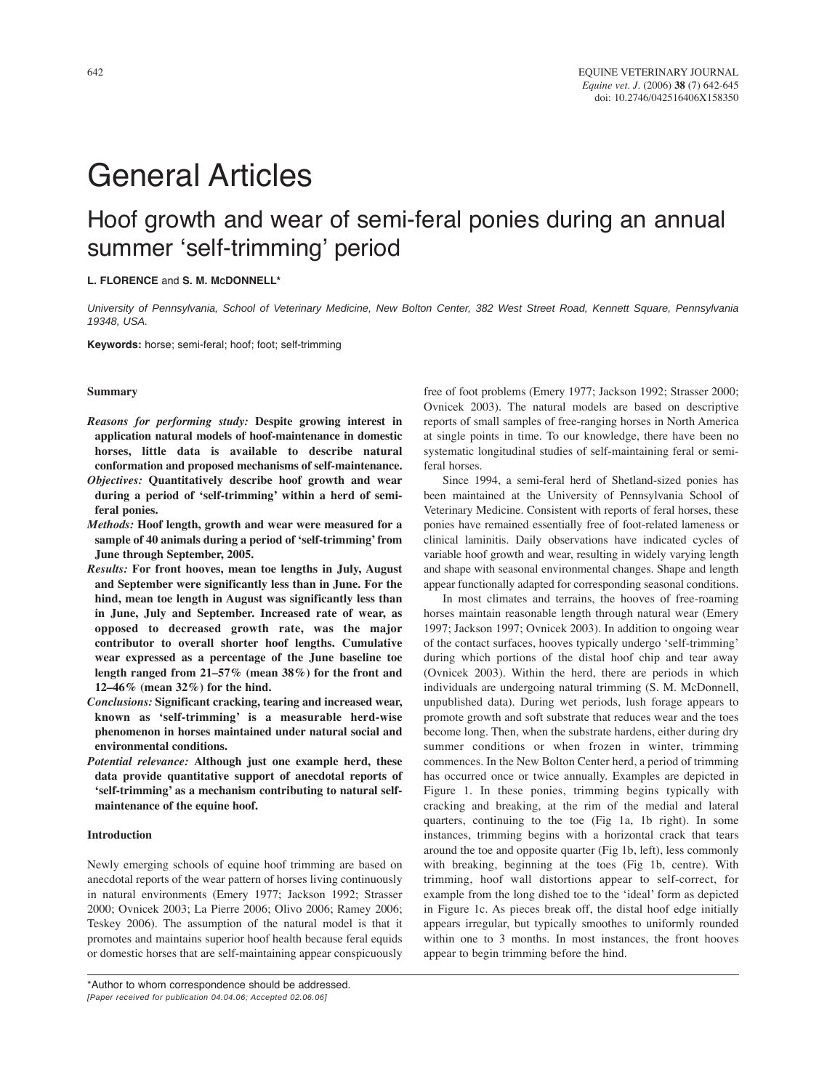# **General Articles**

## Hoof growth and wear of semi-feral ponies during an annual summer 'self-trimming' period

#### L. FLORENCE and S. M. McDONNELL\*

University of Pennsylvania, School of Veterinary Medicine, New Bolton Center, 382 West Street Road, Kennett Square, Pennsylvania 19348, USA.

Keywords: horse; semi-feral; hoof; foot; self-trimming

#### **Summary**

- Reasons for performing study: Despite growing interest in application natural models of hoof-maintenance in domestic horses, little data is available to describe natural conformation and proposed mechanisms of self-maintenance. Objectives: Quantitatively describe hoof growth and wear
- during a period of 'self-trimming' within a herd of semiferal ponies.
- Methods: Hoof length, growth and wear were measured for a sample of 40 animals during a period of 'self-trimming' from June through September, 2005.
- Results: For front hooves, mean toe lengths in July, August and September were significantly less than in June. For the hind, mean toe length in August was significantly less than in June, July and September. Increased rate of wear, as opposed to decreased growth rate, was the major contributor to overall shorter hoof lengths. Cumulative wear expressed as a percentage of the June baseline toe length ranged from  $21-57\%$  (mean  $38\%$ ) for the front and 12-46% (mean  $32\%$ ) for the hind.
- Conclusions: Significant cracking, tearing and increased wear, known as 'self-trimming' is a measurable herd-wise phenomenon in horses maintained under natural social and environmental conditions.
- Potential relevance: Although just one example herd, these data provide quantitative support of anecdotal reports of 'self-trimming' as a mechanism contributing to natural selfmaintenance of the equine hoof.

#### **Introduction**

Newly emerging schools of equine hoof trimming are based on anecdotal reports of the wear pattern of horses living continuously in natural environments (Emery 1977; Jackson 1992; Strasser 2000; Ovnicek 2003; La Pierre 2006; Olivo 2006; Ramey 2006; Teskey 2006). The assumption of the natural model is that it promotes and maintains superior hoof health because feral equids or domestic horses that are self-maintaining appear conspicuously free of foot problems (Emery 1977; Jackson 1992; Strasser 2000; Ovnicek 2003). The natural models are based on descriptive reports of small samples of free-ranging horses in North America at single points in time. To our knowledge, there have been no systematic longitudinal studies of self-maintaining feral or semiferal horses.

Since 1994, a semi-feral herd of Shetland-sized ponies has been maintained at the University of Pennsylvania School of Veterinary Medicine. Consistent with reports of feral horses, these ponies have remained essentially free of foot-related lameness or clinical laminitis. Daily observations have indicated cycles of variable hoof growth and wear, resulting in widely varying length and shape with seasonal environmental changes. Shape and length appear functionally adapted for corresponding seasonal conditions.

In most climates and terrains, the hooves of free-roaming horses maintain reasonable length through natural wear (Emery 1997; Jackson 1997; Ovnicek 2003). In addition to ongoing wear of the contact surfaces, hooves typically undergo 'self-trimming' during which portions of the distal hoof chip and tear away (Ovnicek 2003). Within the herd, there are periods in which individuals are undergoing natural trimming (S. M. McDonnell, unpublished data). During wet periods, lush forage appears to promote growth and soft substrate that reduces wear and the toes become long. Then, when the substrate hardens, either during dry summer conditions or when frozen in winter, trimming commences. In the New Bolton Center herd, a period of trimming has occurred once or twice annually. Examples are depicted in Figure 1. In these ponies, trimming begins typically with cracking and breaking, at the rim of the medial and lateral quarters, continuing to the toe (Fig 1a, 1b right). In some instances, trimming begins with a horizontal crack that tears around the toe and opposite quarter (Fig 1b, left), less commonly with breaking, beginning at the toes (Fig 1b, centre). With trimming, hoof wall distortions appear to self-correct, for example from the long dished toe to the 'ideal' form as depicted in Figure 1c. As pieces break off, the distal hoof edge initially appears irregular, but typically smoothes to uniformly rounded within one to 3 months. In most instances, the front hooves appear to begin trimming before the hind.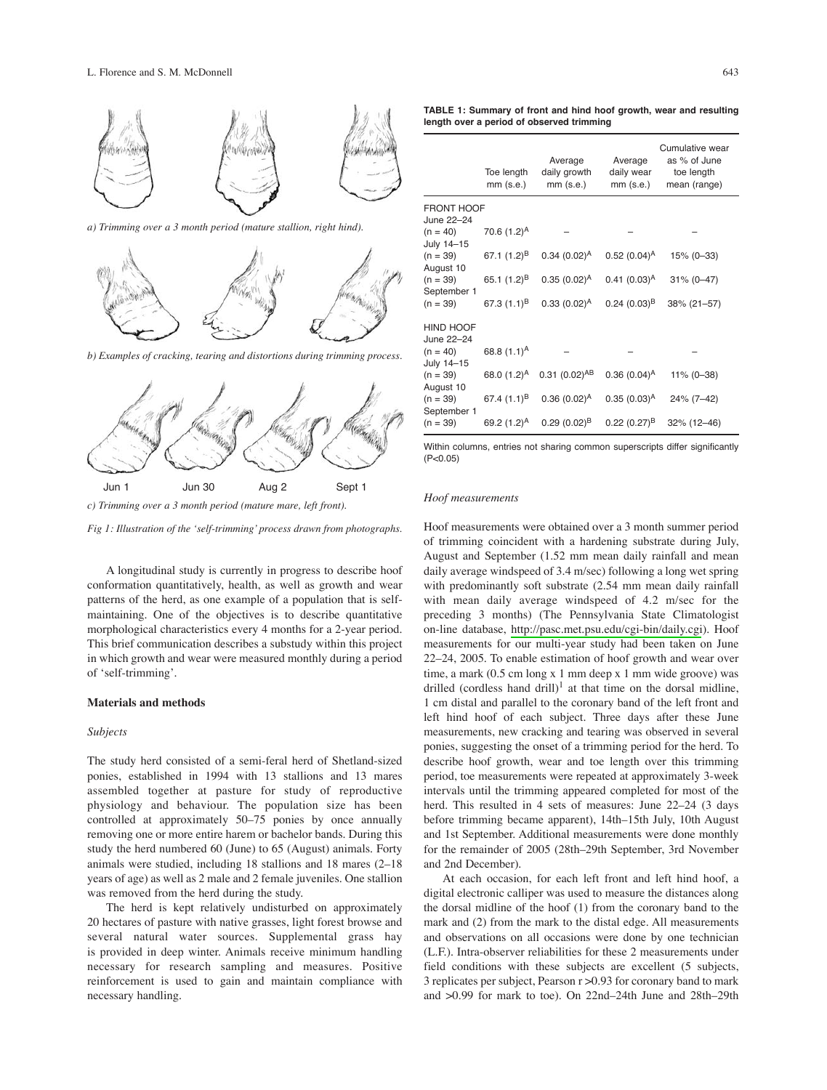

a) Trimming over a 3 month period (mature stallion, right hind).



b) Examples of cracking, tearing and distortions during trimming process.



c) Trimming over a 3 month period (mature mare, left front).



A longitudinal study is currently in progress to describe hoof conformation quantitatively, health, as well as growth and wear patterns of the herd, as one example of a population that is selfmaintaining. One of the objectives is to describe quantitative morphological characteristics every 4 months for a 2-year period. This brief communication describes a substudy within this project in which growth and wear were measured monthly during a period of 'self-trimming'.

#### **Materials and methods**

#### Subjects

The study herd consisted of a semi-feral herd of Shetland-sized ponies, established in 1994 with 13 stallions and 13 mares assembled together at pasture for study of reproductive physiology and behaviour. The population size has been controlled at approximately 50-75 ponies by once annually removing one or more entire harem or bachelor bands. During this study the herd numbered 60 (June) to 65 (August) animals. Forty animals were studied, including 18 stallions and 18 mares (2-18) years of age) as well as 2 male and 2 female juveniles. One stallion was removed from the herd during the study.

The herd is kept relatively undisturbed on approximately 20 hectares of pasture with native grasses, light forest browse and several natural water sources. Supplemental grass hay is provided in deep winter. Animals receive minimum handling necessary for research sampling and measures. Positive reinforcement is used to gain and maintain compliance with necessary handling.

TABLE 1: Summary of front and hind hoof growth, wear and resulting length over a period of observed trimming

|                                                                                  | Toe length<br>$mm$ (s.e.) | Average<br>daily growth<br>$mm$ (s.e.) | Average<br>daily wear<br>$mm$ (s.e.) | Cumulative wear<br>as % of June<br>toe length<br>mean (range) |
|----------------------------------------------------------------------------------|---------------------------|----------------------------------------|--------------------------------------|---------------------------------------------------------------|
| <b>FRONT HOOF</b><br>June 22-24                                                  |                           |                                        |                                      |                                                               |
| $(n = 40)$<br>July 14-15<br>$(n = 39)$<br>August 10<br>$(n = 39)$<br>September 1 | 70.6 $(1.2)^A$            |                                        |                                      |                                                               |
|                                                                                  | 67.1 $(1.2)^B$            | $0.34~(0.02)^A$                        | $0.52(0.04)^A$                       | $15% (0-33)$                                                  |
|                                                                                  | 65.1 $(1.2)^{B}$          | $0.35(0.02)^A$                         | $0.41 (0.03)^A$                      | $31\% (0 - 47)$                                               |
| $(n = 39)$                                                                       | 67.3 $(1.1)^{B}$          | $0.33(0.02)^A$                         | $0.24~(0.03)^{B}$                    | 38% (21-57)                                                   |
| <b>HIND HOOF</b><br>June 22-24                                                   |                           |                                        |                                      |                                                               |
| $(n = 40)$<br>July 14-15                                                         | 68.8 $(1.1)^A$            |                                        |                                      |                                                               |
| $(n = 39)$<br>August 10                                                          | 68.0 $(1.2)^A$            | $0.31(0.02)^{AB}$                      | $0.36(0.04)^A$                       | $11\% (0 - 38)$                                               |
| $(n = 39)$<br>September 1                                                        | 67.4 $(1.1)^8$            | $0.36(0.02)^A$                         | $0.35(0.03)^A$                       | 24% (7-42)                                                    |
| $(n = 39)$                                                                       | 69.2 (1.2) <sup>A</sup>   | $0.29(0.02)^{B}$                       | $0.22~(0.27)^{B}$                    | 32% (12-46)                                                   |

Within columns, entries not sharing common superscripts differ significantly  $(P<0.05)$ 

#### Hoof measurements

Hoof measurements were obtained over a 3 month summer period of trimming coincident with a hardening substrate during July, August and September (1.52 mm mean daily rainfall and mean daily average windspeed of 3.4 m/sec) following a long wet spring with predominantly soft substrate (2.54 mm mean daily rainfall with mean daily average windspeed of 4.2 m/sec for the preceding 3 months) (The Pennsylvania State Climatologist on-line database, http://pasc.met.psu.edu/cgi-bin/daily.cgi). Hoof measurements for our multi-year study had been taken on June 22-24, 2005. To enable estimation of hoof growth and wear over time, a mark (0.5 cm long x 1 mm deep x 1 mm wide groove) was drilled (cordless hand drill)<sup>1</sup> at that time on the dorsal midline, 1 cm distal and parallel to the coronary band of the left front and left hind hoof of each subject. Three days after these June measurements, new cracking and tearing was observed in several ponies, suggesting the onset of a trimming period for the herd. To describe hoof growth, wear and toe length over this trimming period, toe measurements were repeated at approximately 3-week intervals until the trimming appeared completed for most of the herd. This resulted in 4 sets of measures: June 22–24 (3 days before trimming became apparent), 14th-15th July, 10th August and 1st September. Additional measurements were done monthly for the remainder of 2005 (28th-29th September, 3rd November and 2nd December).

At each occasion, for each left front and left hind hoof, a digital electronic calliper was used to measure the distances along the dorsal midline of the hoof (1) from the coronary band to the mark and (2) from the mark to the distal edge. All measurements and observations on all occasions were done by one technician (L.F.). Intra-observer reliabilities for these 2 measurements under field conditions with these subjects are excellent (5 subjects, 3 replicates per subject, Pearson r > 0.93 for coronary band to mark and >0.99 for mark to toe). On 22nd-24th June and 28th-29th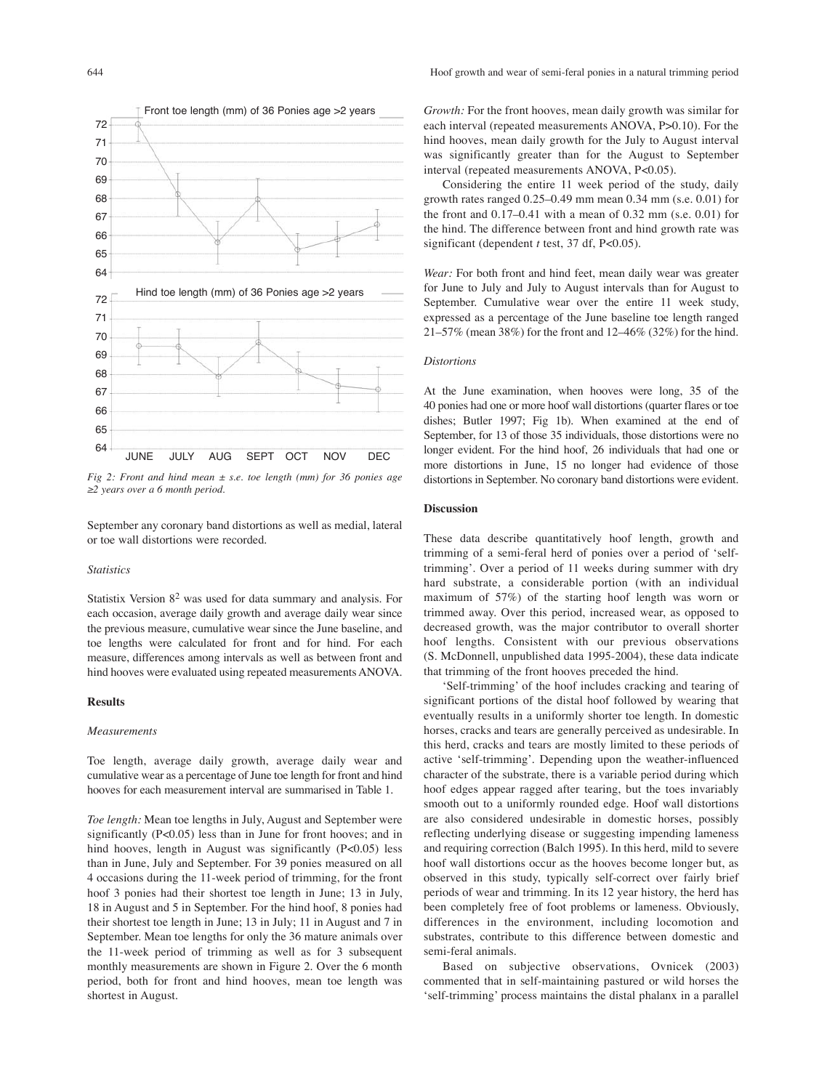September any coronary band distortions as well as medial, lateral

Fig 2: Front and hind mean  $\pm$  s.e. toe length (mm) for 36 ponies age

### or toe wall distortions were recorded.

#### **Statistics**

 $\geq$ 2 years over a 6 month period.

Statistix Version  $8^2$  was used for data summary and analysis. For each occasion, average daily growth and average daily wear since the previous measure, cumulative wear since the June baseline, and toe lengths were calculated for front and for hind. For each measure, differences among intervals as well as between front and hind hooves were evaluated using repeated measurements ANOVA.

#### **Results**

#### **Measurements**

Toe length, average daily growth, average daily wear and cumulative wear as a percentage of June toe length for front and hind hooves for each measurement interval are summarised in Table 1.

Toe length: Mean toe lengths in July, August and September were significantly  $(P<0.05)$  less than in June for front hooves; and in hind hooves, length in August was significantly (P<0.05) less than in June, July and September. For 39 ponies measured on all 4 occasions during the 11-week period of trimming, for the front hoof 3 ponies had their shortest toe length in June; 13 in July, 18 in August and 5 in September. For the hind hoof, 8 ponies had their shortest toe length in June; 13 in July; 11 in August and 7 in September. Mean toe lengths for only the 36 mature animals over the 11-week period of trimming as well as for 3 subsequent monthly measurements are shown in Figure 2. Over the 6 month period, both for front and hind hooves, mean toe length was shortest in August.

Growth: For the front hooves, mean daily growth was similar for each interval (repeated measurements ANOVA, P>0.10). For the hind hooves, mean daily growth for the July to August interval was significantly greater than for the August to September interval (repeated measurements ANOVA, P<0.05).

Considering the entire 11 week period of the study, daily growth rates ranged  $0.25-0.49$  mm mean  $0.34$  mm (s.e.  $0.01$ ) for the front and  $0.17-0.41$  with a mean of  $0.32$  mm (s.e.  $0.01$ ) for the hind. The difference between front and hind growth rate was significant (dependent  $t$  test, 37 df, P<0.05).

Wear: For both front and hind feet, mean daily wear was greater for June to July and July to August intervals than for August to September. Cumulative wear over the entire 11 week study, expressed as a percentage of the June baseline toe length ranged  $21-57\%$  (mean 38%) for the front and 12–46% (32%) for the hind.

#### **Distortions**

At the June examination, when hooves were long, 35 of the 40 ponies had one or more hoof wall distortions (quarter flares or toe dishes; Butler 1997; Fig 1b). When examined at the end of September, for 13 of those 35 individuals, those distortions were no longer evident. For the hind hoof, 26 individuals that had one or more distortions in June, 15 no longer had evidence of those distortions in September. No coronary band distortions were evident.

#### **Discussion**

These data describe quantitatively hoof length, growth and trimming of a semi-feral herd of ponies over a period of 'selftrimming'. Over a period of 11 weeks during summer with dry hard substrate, a considerable portion (with an individual maximum of  $57\%$ ) of the starting hoof length was worn or trimmed away. Over this period, increased wear, as opposed to decreased growth, was the major contributor to overall shorter hoof lengths. Consistent with our previous observations (S. McDonnell, unpublished data 1995-2004), these data indicate that trimming of the front hooves preceded the hind.

'Self-trimming' of the hoof includes cracking and tearing of significant portions of the distal hoof followed by wearing that eventually results in a uniformly shorter toe length. In domestic horses, cracks and tears are generally perceived as undesirable. In this herd, cracks and tears are mostly limited to these periods of active 'self-trimming'. Depending upon the weather-influenced character of the substrate, there is a variable period during which hoof edges appear ragged after tearing, but the toes invariably smooth out to a uniformly rounded edge. Hoof wall distortions are also considered undesirable in domestic horses, possibly reflecting underlying disease or suggesting impending lameness and requiring correction (Balch 1995). In this herd, mild to severe hoof wall distortions occur as the hooves become longer but, as observed in this study, typically self-correct over fairly brief periods of wear and trimming. In its 12 year history, the herd has been completely free of foot problems or lameness. Obviously, differences in the environment, including locomotion and substrates, contribute to this difference between domestic and semi-feral animals.

Based on subjective observations, Ovnicek (2003) commented that in self-maintaining pastured or wild horses the 'self-trimming' process maintains the distal phalanx in a parallel